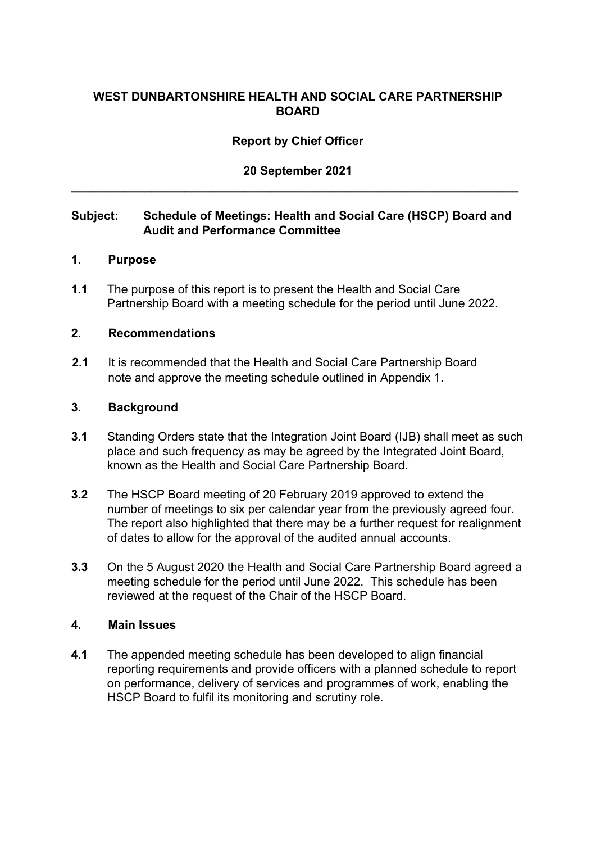## **WEST DUNBARTONSHIRE HEALTH AND SOCIAL CARE PARTNERSHIP BOARD**

#### **Report by Chief Officer**

# **20 September 2021 \_\_\_\_\_\_\_\_\_\_\_\_\_\_\_\_\_\_\_\_\_\_\_\_\_\_\_\_\_\_\_\_\_\_\_\_\_\_\_\_\_\_\_\_\_\_\_\_\_\_\_\_\_\_\_\_\_\_\_\_\_\_\_\_\_\_\_**

#### **Subject: Schedule of Meetings: Health and Social Care (HSCP) Board and Audit and Performance Committee**

#### **1. Purpose**

**1.1** The purpose of this report is to present the Health and Social Care Partnership Board with a meeting schedule for the period until June 2022.

#### **2. Recommendations**

**2.1** It is recommended that the Health and Social Care Partnership Board note and approve the meeting schedule outlined in Appendix 1.

#### **3. Background**

- **3.1** Standing Orders state that the Integration Joint Board (IJB) shall meet as such place and such frequency as may be agreed by the Integrated Joint Board, known as the Health and Social Care Partnership Board.
- **3.2** The HSCP Board meeting of 20 February 2019 approved to extend the number of meetings to six per calendar year from the previously agreed four. The report also highlighted that there may be a further request for realignment of dates to allow for the approval of the audited annual accounts.
- **3.3** On the 5 August 2020 the Health and Social Care Partnership Board agreed a meeting schedule for the period until June 2022. This schedule has been reviewed at the request of the Chair of the HSCP Board.

#### **4. Main Issues**

**4.1** The appended meeting schedule has been developed to align financial reporting requirements and provide officers with a planned schedule to report on performance, delivery of services and programmes of work, enabling the HSCP Board to fulfil its monitoring and scrutiny role.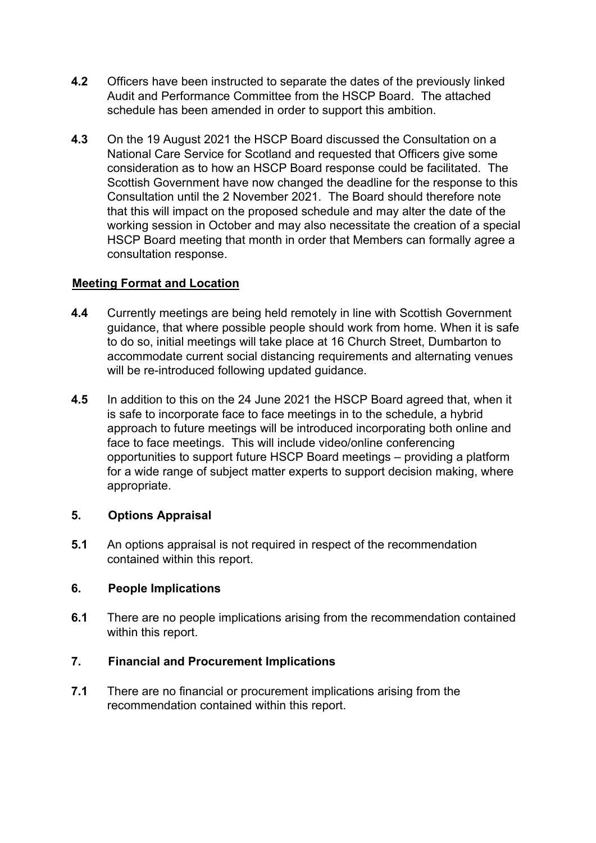- **4.2** Officers have been instructed to separate the dates of the previously linked Audit and Performance Committee from the HSCP Board. The attached schedule has been amended in order to support this ambition.
- **4.3** On the 19 August 2021 the HSCP Board discussed the Consultation on a National Care Service for Scotland and requested that Officers give some consideration as to how an HSCP Board response could be facilitated. The Scottish Government have now changed the deadline for the response to this Consultation until the 2 November 2021. The Board should therefore note that this will impact on the proposed schedule and may alter the date of the working session in October and may also necessitate the creation of a special HSCP Board meeting that month in order that Members can formally agree a consultation response.

#### **Meeting Format and Location**

- **4.4** Currently meetings are being held remotely in line with Scottish Government guidance, that where possible people should work from home. When it is safe to do so, initial meetings will take place at 16 Church Street, Dumbarton to accommodate current social distancing requirements and alternating venues will be re-introduced following updated guidance.
- **4.5** In addition to this on the 24 June 2021 the HSCP Board agreed that, when it is safe to incorporate face to face meetings in to the schedule, a hybrid approach to future meetings will be introduced incorporating both online and face to face meetings. This will include video/online conferencing opportunities to support future HSCP Board meetings – providing a platform for a wide range of subject matter experts to support decision making, where appropriate.

#### **5. Options Appraisal**

**5.1** An options appraisal is not required in respect of the recommendation contained within this report.

## **6. People Implications**

**6.1** There are no people implications arising from the recommendation contained within this report.

## **7. Financial and Procurement Implications**

**7.1** There are no financial or procurement implications arising from the recommendation contained within this report.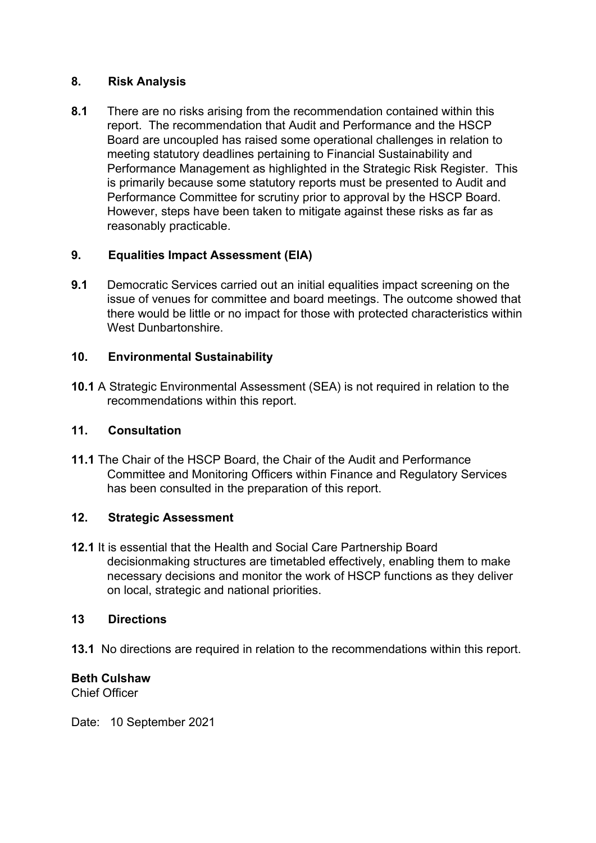#### **8. Risk Analysis**

**8.1** There are no risks arising from the recommendation contained within this report. The recommendation that Audit and Performance and the HSCP Board are uncoupled has raised some operational challenges in relation to meeting statutory deadlines pertaining to Financial Sustainability and Performance Management as highlighted in the Strategic Risk Register. This is primarily because some statutory reports must be presented to Audit and Performance Committee for scrutiny prior to approval by the HSCP Board. However, steps have been taken to mitigate against these risks as far as reasonably practicable.

## **9. Equalities Impact Assessment (EIA)**

**9.1** Democratic Services carried out an initial equalities impact screening on the issue of venues for committee and board meetings. The outcome showed that there would be little or no impact for those with protected characteristics within West Dunbartonshire.

## **10. Environmental Sustainability**

**10.1** A Strategic Environmental Assessment (SEA) is not required in relation to the recommendations within this report.

## **11. Consultation**

**11.1** The Chair of the HSCP Board, the Chair of the Audit and Performance Committee and Monitoring Officers within Finance and Regulatory Services has been consulted in the preparation of this report.

## **12. Strategic Assessment**

**12.1** It is essential that the Health and Social Care Partnership Board decisionmaking structures are timetabled effectively, enabling them to make necessary decisions and monitor the work of HSCP functions as they deliver on local, strategic and national priorities.

## **13 Directions**

**13.1** No directions are required in relation to the recommendations within this report.

## **Beth Culshaw**

Chief Officer

Date: 10 September 2021